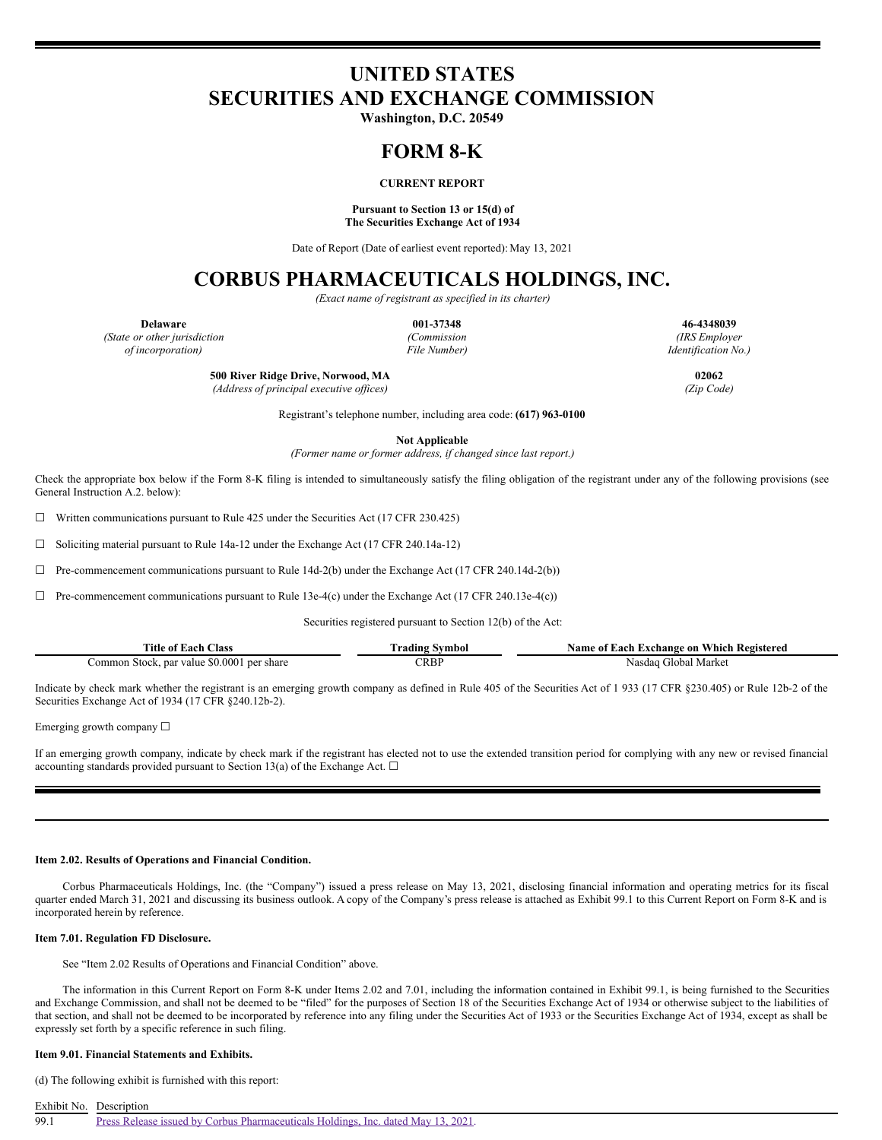# **UNITED STATES SECURITIES AND EXCHANGE COMMISSION**

**Washington, D.C. 20549**

## **FORM 8-K**

## **CURRENT REPORT**

## **Pursuant to Section 13 or 15(d) of The Securities Exchange Act of 1934**

Date of Report (Date of earliest event reported): May 13, 2021

# **CORBUS PHARMACEUTICALS HOLDINGS, INC.**

*(Exact name of registrant as specified in its charter)*

*(State or other jurisdiction (Commission (IRS Employer of incorporation) File Number) Identification No.)*

**Delaware 001-37348 46-4348039**

**500 River Ridge Drive, Norwood, MA 02062**

*(Address of principal executive of ices) (Zip Code)*

Registrant's telephone number, including area code: **(617) 963-0100**

**Not Applicable**

*(Former name or former address, if changed since last report.)*

Check the appropriate box below if the Form 8-K filing is intended to simultaneously satisfy the filing obligation of the registrant under any of the following provisions (see General Instruction A.2. below):

 $\Box$  Written communications pursuant to Rule 425 under the Securities Act (17 CFR 230.425)

☐ Soliciting material pursuant to Rule 14a-12 under the Exchange Act (17 CFR 240.14a-12)

☐ Pre-commencement communications pursuant to Rule 14d-2(b) under the Exchange Act (17 CFR 240.14d-2(b))

 $\Box$  Pre-commencement communications pursuant to Rule 13e-4(c) under the Exchange Act (17 CFR 240.13e-4(c))

Securities registered pursuant to Section 12(b) of the Act:

| . lass<br>1 itle<br>: ot<br>Each                    | Fradıng<br>ivmbo                           | - Registered<br>Each<br>Which<br>. Exchange on<br>Name<br>: 01 |  |  |  |
|-----------------------------------------------------|--------------------------------------------|----------------------------------------------------------------|--|--|--|
| . par value \$0.000<br>per share<br>Stock.<br>ommon | $\mathbb{C}\mathsf{R}\mathsf{B}\mathsf{P}$ | Marke<br>ilobal<br>าsdaa                                       |  |  |  |

Indicate by check mark whether the registrant is an emerging growth company as defined in Rule 405 of the Securities Act of 1 933 (17 CFR §230.405) or Rule 12b-2 of the Securities Exchange Act of 1934 (17 CFR §240.12b-2).

Emerging growth company ☐

If an emerging growth company, indicate by check mark if the registrant has elected not to use the extended transition period for complying with any new or revised financial accounting standards provided pursuant to Section 13(a) of the Exchange Act.  $\square$ 

#### **Item 2.02. Results of Operations and Financial Condition.**

Corbus Pharmaceuticals Holdings, Inc. (the "Company") issued a press release on May 13, 2021, disclosing financial information and operating metrics for its fiscal quarter ended March 31, 2021 and discussing its business outlook. A copy of the Company's press release is attached as Exhibit 99.1 to this Current Report on Form 8-K and is incorporated herein by reference.

## **Item 7.01. Regulation FD Disclosure.**

See "Item 2.02 Results of Operations and Financial Condition" above.

The information in this Current Report on Form 8-K under Items 2.02 and 7.01, including the information contained in Exhibit 99.1, is being furnished to the Securities and Exchange Commission, and shall not be deemed to be "filed" for the purposes of Section 18 of the Securities Exchange Act of 1934 or otherwise subject to the liabilities of that section, and shall not be deemed to be incorporated by reference into any filing under the Securities Act of 1933 or the Securities Exchange Act of 1934, except as shall be expressly set forth by a specific reference in such filing.

## **Item 9.01. Financial Statements and Exhibits.**

(d) The following exhibit is furnished with this report:

Exhibit No. Description

Press Release issued by Corbus [Pharmaceuticals](#page-3-0) Holdings, Inc. dated May 13, 2021.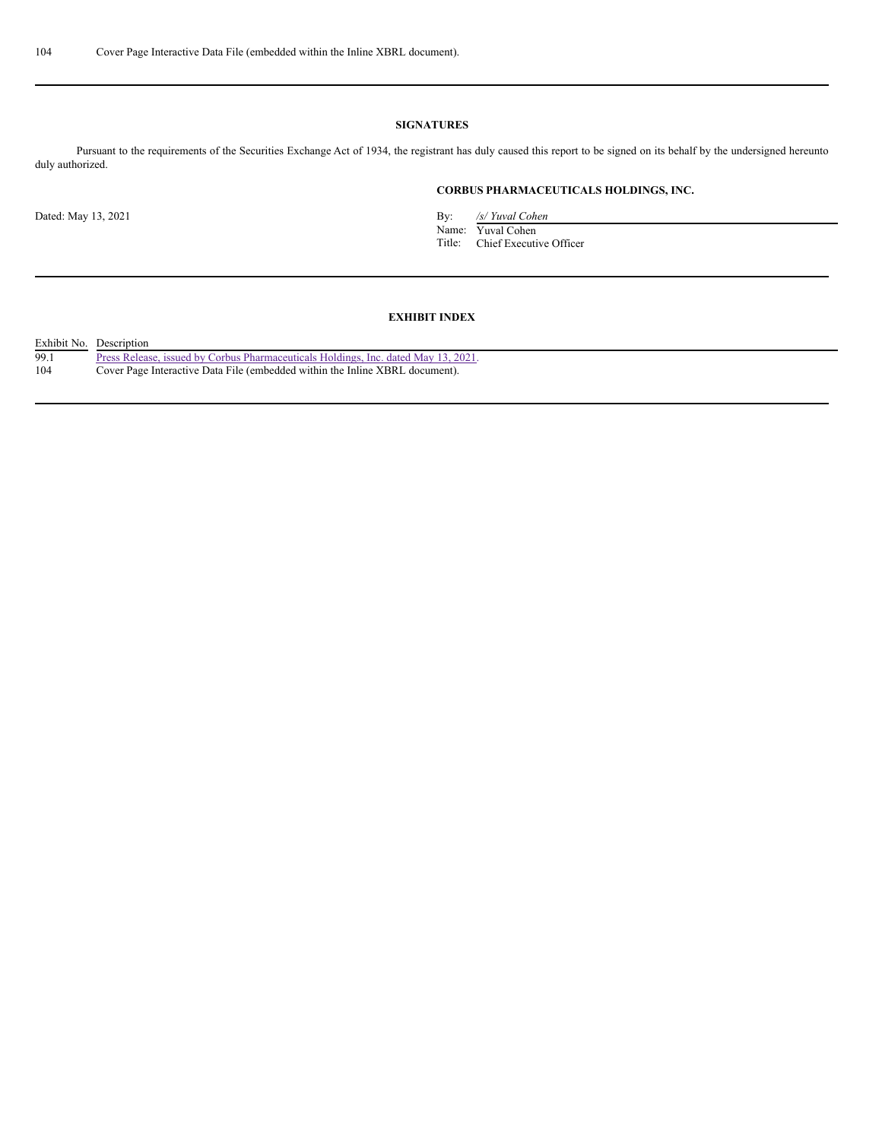## **SIGNATURES**

Pursuant to the requirements of the Securities Exchange Act of 1934, the registrant has duly caused this report to be signed on its behalf by the undersigned hereunto duly authorized.

## **CORBUS PHARMACEUTICALS HOLDINGS, INC.**

Dated: May 13, 2021 By: */s/ Yuval Cohen*

Name: Yuval Cohen Title: Chief Executive Officer

## **EXHIBIT INDEX**

| Exhibit No. | Description                                                                        |
|-------------|------------------------------------------------------------------------------------|
| 99.1        | Press Release, issued by Corbus Pharmaceuticals Holdings, Inc. dated May 13, 2021. |
| 104         | Cover Page Interactive Data File (embedded within the Inline XBRL document).       |
|             |                                                                                    |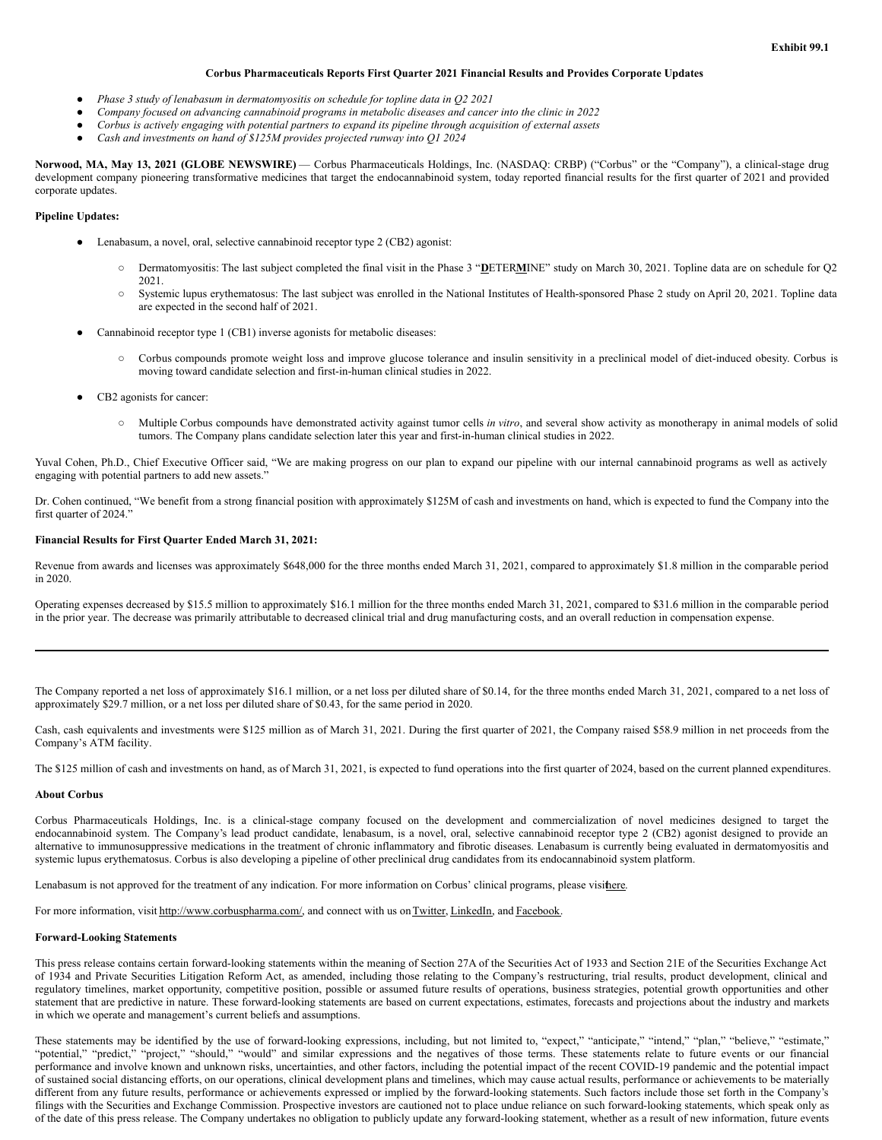## **Corbus Pharmaceuticals Reports First Quarter 2021 Financial Results and Provides Corporate Updates**

- *Phase 3 study of lenabasum in dermatomyositis on schedule for topline data in Q2 2021*
- *Company focused on advancing cannabinoid programs in metabolic diseases and cancer into the clinic in 2022*
- Corbus is actively engaging with potential partners to expand its pipeline through acquisition of external assets
- *Cash and investments on hand of \$125M provides projected runway into Q1 2024*

**Norwood, MA, May 13, 2021 (GLOBE NEWSWIRE)** — Corbus Pharmaceuticals Holdings, Inc. (NASDAQ: CRBP) ("Corbus" or the "Company"), a clinical-stage drug development company pioneering transformative medicines that target the endocannabinoid system, today reported financial results for the first quarter of 2021 and provided corporate updates.

## **Pipeline Updates:**

- Lenabasum, a novel, oral, selective cannabinoid receptor type 2 (CB2) agonist:
	- Dermatomyositis: The last subject completed the final visit in the Phase 3 "**D**ETER**M**INE" study on March 30, 2021. Topline data are on schedule for Q2 2021.
	- Systemic lupus erythematosus: The last subject was enrolled in the National Institutes of Health-sponsored Phase 2 study on April 20, 2021. Topline data are expected in the second half of 2021.
- Cannabinoid receptor type 1 (CB1) inverse agonists for metabolic diseases:
	- Corbus compounds promote weight loss and improve glucose tolerance and insulin sensitivity in a preclinical model of diet-induced obesity. Corbus is moving toward candidate selection and first-in-human clinical studies in 2022.
- CB2 agonists for cancer:
	- Multiple Corbus compounds have demonstrated activity against tumor cells *in vitro*, and several show activity as monotherapy in animal models of solid tumors. The Company plans candidate selection later this year and first-in-human clinical studies in 2022.

Yuval Cohen, Ph.D., Chief Executive Officer said, "We are making progress on our plan to expand our pipeline with our internal cannabinoid programs as well as actively engaging with potential partners to add new assets."

Dr. Cohen continued, "We benefit from a strong financial position with approximately \$125M of cash and investments on hand, which is expected to fund the Company into the first quarter of 2024."

## **Financial Results for First Quarter Ended March 31, 2021:**

Revenue from awards and licenses was approximately \$648,000 for the three months ended March 31, 2021, compared to approximately \$1.8 million in the comparable period in 2020.

Operating expenses decreased by \$15.5 million to approximately \$16.1 million for the three months ended March 31, 2021, compared to \$31.6 million in the comparable period in the prior year. The decrease was primarily attributable to decreased clinical trial and drug manufacturing costs, and an overall reduction in compensation expense.

The Company reported a net loss of approximately \$16.1 million, or a net loss per diluted share of \$0.14, for the three months ended March 31, 2021, compared to a net loss of approximately \$29.7 million, or a net loss per diluted share of \$0.43, for the same period in 2020.

Cash, cash equivalents and investments were \$125 million as of March 31, 2021. During the first quarter of 2021, the Company raised \$58.9 million in net proceeds from the Company's ATM facility.

The \$125 million of cash and investments on hand, as of March 31, 2021, is expected to fund operations into the first quarter of 2024, based on the current planned expenditures.

## **About Corbus**

Corbus Pharmaceuticals Holdings, Inc. is a clinical-stage company focused on the development and commercialization of novel medicines designed to target the endocannabinoid system. The Company's lead product candidate, lenabasum, is a novel, oral, selective cannabinoid receptor type 2 (CB2) agonist designed to provide an alternative to immunosuppressive medications in the treatment of chronic inflammatory and fibrotic diseases. Lenabasum is currently being evaluated in dermatomyositis and systemic lupus erythematosus. Corbus is also developing a pipeline of other preclinical drug candidates from its endocannabinoid system platform.

Lenabasum is not approved for the treatment of any indication. For more information on Corbus' clinical programs, please visithere.

For more information, visit http://www.corbuspharma.com/, and connect with us on Twitter, LinkedIn, and Facebook.

#### **Forward-Looking Statements**

This press release contains certain forward-looking statements within the meaning of Section 27A of the Securities Act of 1933 and Section 21E of the Securities Exchange Act of 1934 and Private Securities Litigation Reform Act, as amended, including those relating to the Company's restructuring, trial results, product development, clinical and regulatory timelines, market opportunity, competitive position, possible or assumed future results of operations, business strategies, potential growth opportunities and other statement that are predictive in nature. These forward-looking statements are based on current expectations, estimates, forecasts and projections about the industry and markets in which we operate and management's current beliefs and assumptions.

These statements may be identified by the use of forward-looking expressions, including, but not limited to, "expect," "anticipate," "intend," "plan," "believe," "estimate," "potential," "predict," "project," "should," "would" and similar expressions and the negatives of those terms. These statements relate to future events or our financial performance and involve known and unknown risks, uncertainties, and other factors, including the potential impact of the recent COVID-19 pandemic and the potential impact of sustained social distancing efforts, on our operations, clinical development plans and timelines, which may cause actual results, performance or achievements to be materially different from any future results, performance or achievements expressed or implied by the forward-looking statements. Such factors include those set forth in the Company's filings with the Securities and Exchange Commission. Prospective investors are cautioned not to place undue reliance on such forward-looking statements, which speak only as of the date of this press release. The Company undertakes no obligation to publicly update any forward-looking statement, whether as a result of new information, future events